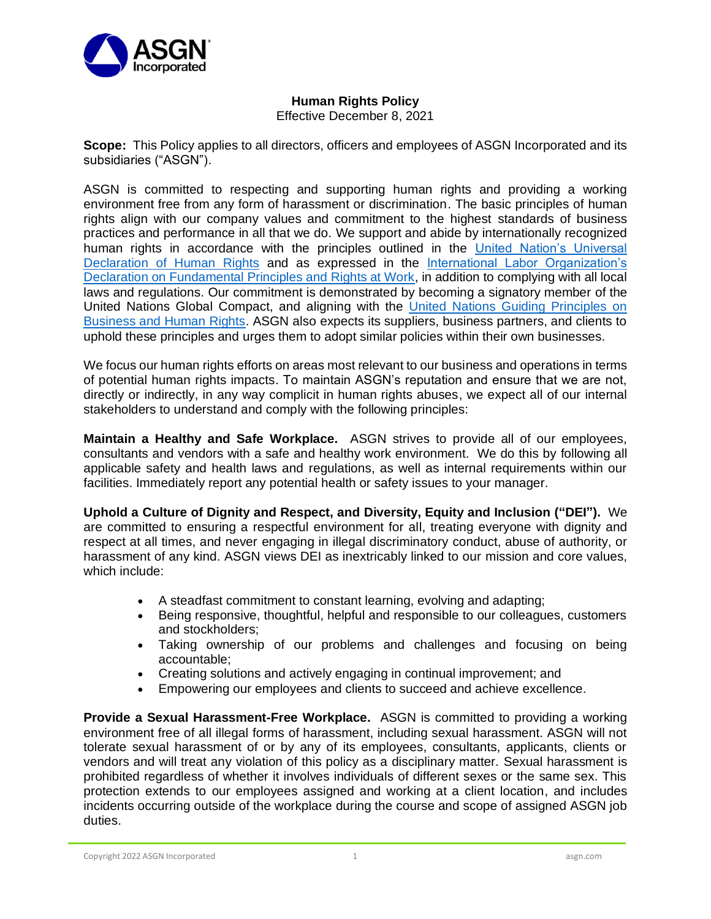

## **Human Rights Policy**

Effective December 8, 2021

**Scope:** This Policy applies to all directors, officers and employees of ASGN Incorporated and its subsidiaries ("ASGN").

ASGN is committed to respecting and supporting human rights and providing a working environment free from any form of harassment or discrimination. The basic principles of human rights align with our company values and commitment to the highest standards of business practices and performance in all that we do. We support and abide by internationally recognized human rights in accordance with the principles outlined in the [United Nation's Universal](https://www.un.org/en/about-us/universal-declaration-of-human-rights)  [Declaration of Human Rights](https://www.un.org/en/about-us/universal-declaration-of-human-rights) and as expressed in the [International Labor Organization's](https://www.ilo.org/declaration/lang--en/index.htm)  [Declaration on Fundamental Principles and Rights at Work,](https://www.ilo.org/declaration/lang--en/index.htm) in addition to complying with all local laws and regulations. Our commitment is demonstrated by becoming a signatory member of the United Nations Global Compact, and aligning with the [United Nations Guiding Principles on](https://www.ohchr.org/documents/publications/guidingprinciplesbusinesshr_en.pdf)  [Business and Human Rights.](https://www.ohchr.org/documents/publications/guidingprinciplesbusinesshr_en.pdf) ASGN also expects its suppliers, business partners, and clients to uphold these principles and urges them to adopt similar policies within their own businesses.

We focus our human rights efforts on areas most relevant to our business and operations in terms of potential human rights impacts. To maintain ASGN's reputation and ensure that we are not, directly or indirectly, in any way complicit in human rights abuses, we expect all of our internal stakeholders to understand and comply with the following principles:

**Maintain a Healthy and Safe Workplace.** ASGN strives to provide all of our employees, consultants and vendors with a safe and healthy work environment. We do this by following all applicable safety and health laws and regulations, as well as internal requirements within our facilities. Immediately report any potential health or safety issues to your manager.

**Uphold a Culture of Dignity and Respect, and Diversity, Equity and Inclusion ("DEI").** We are committed to ensuring a respectful environment for all, treating everyone with dignity and respect at all times, and never engaging in illegal discriminatory conduct, abuse of authority, or harassment of any kind. ASGN views DEI as inextricably linked to our mission and core values, which include:

- A steadfast commitment to constant learning, evolving and adapting;
- Being responsive, thoughtful, helpful and responsible to our colleagues, customers and stockholders;
- Taking ownership of our problems and challenges and focusing on being accountable;
- Creating solutions and actively engaging in continual improvement; and
- Empowering our employees and clients to succeed and achieve excellence.

**Provide a Sexual Harassment-Free Workplace.** ASGN is committed to providing a working environment free of all illegal forms of harassment, including sexual harassment. ASGN will not tolerate sexual harassment of or by any of its employees, consultants, applicants, clients or vendors and will treat any violation of this policy as a disciplinary matter. Sexual harassment is prohibited regardless of whether it involves individuals of different sexes or the same sex. This protection extends to our employees assigned and working at a client location, and includes incidents occurring outside of the workplace during the course and scope of assigned ASGN job duties.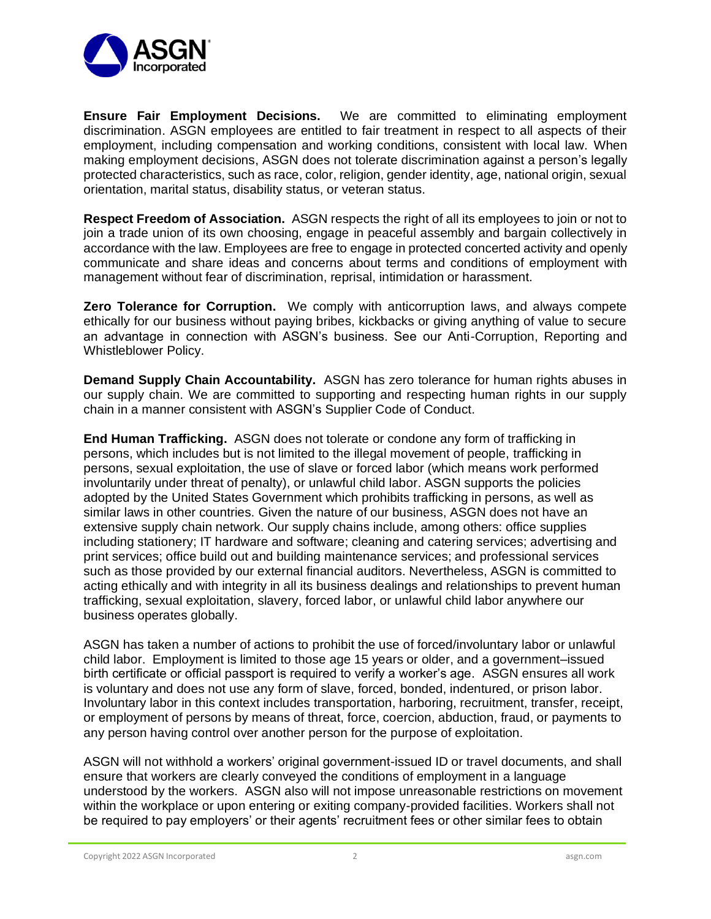

**Ensure Fair Employment Decisions.** We are committed to eliminating employment discrimination. ASGN employees are entitled to fair treatment in respect to all aspects of their employment, including compensation and working conditions, consistent with local law. When making employment decisions, ASGN does not tolerate discrimination against a person's legally protected characteristics, such as race, color, religion, gender identity, age, national origin, sexual orientation, marital status, disability status, or veteran status.

**Respect Freedom of Association.** ASGN respects the right of all its employees to join or not to join a trade union of its own choosing, engage in peaceful assembly and bargain collectively in accordance with the law. Employees are free to engage in protected concerted activity and openly communicate and share ideas and concerns about terms and conditions of employment with management without fear of discrimination, reprisal, intimidation or harassment.

**Zero Tolerance for Corruption.** We comply with anticorruption laws, and always compete ethically for our business without paying bribes, kickbacks or giving anything of value to secure an advantage in connection with ASGN's business. See our Anti-Corruption, Reporting and Whistleblower Policy.

**Demand Supply Chain Accountability.** ASGN has zero tolerance for human rights abuses in our supply chain. We are committed to supporting and respecting human rights in our supply chain in a manner consistent with ASGN's Supplier Code of Conduct.

**End Human Trafficking.** ASGN does not tolerate or condone any form of trafficking in persons, which includes but is not limited to the illegal movement of people, trafficking in persons, sexual exploitation, the use of slave or forced labor (which means work performed involuntarily under threat of penalty), or unlawful child labor. ASGN supports the policies adopted by the United States Government which prohibits trafficking in persons, as well as similar laws in other countries. Given the nature of our business, ASGN does not have an extensive supply chain network. Our supply chains include, among others: office supplies including stationery; IT hardware and software; cleaning and catering services; advertising and print services; office build out and building maintenance services; and professional services such as those provided by our external financial auditors. Nevertheless, ASGN is committed to acting ethically and with integrity in all its business dealings and relationships to prevent human trafficking, sexual exploitation, slavery, forced labor, or unlawful child labor anywhere our business operates globally.

ASGN has taken a number of actions to prohibit the use of forced/involuntary labor or unlawful child labor. Employment is limited to those age 15 years or older, and a government–issued birth certificate or official passport is required to verify a worker's age. ASGN ensures all work is voluntary and does not use any form of slave, forced, bonded, indentured, or prison labor. Involuntary labor in this context includes transportation, harboring, recruitment, transfer, receipt, or employment of persons by means of threat, force, coercion, abduction, fraud, or payments to any person having control over another person for the purpose of exploitation.

ASGN will not withhold a workers' original government-issued ID or travel documents, and shall ensure that workers are clearly conveyed the conditions of employment in a language understood by the workers. ASGN also will not impose unreasonable restrictions on movement within the workplace or upon entering or exiting company-provided facilities. Workers shall not be required to pay employers' or their agents' recruitment fees or other similar fees to obtain